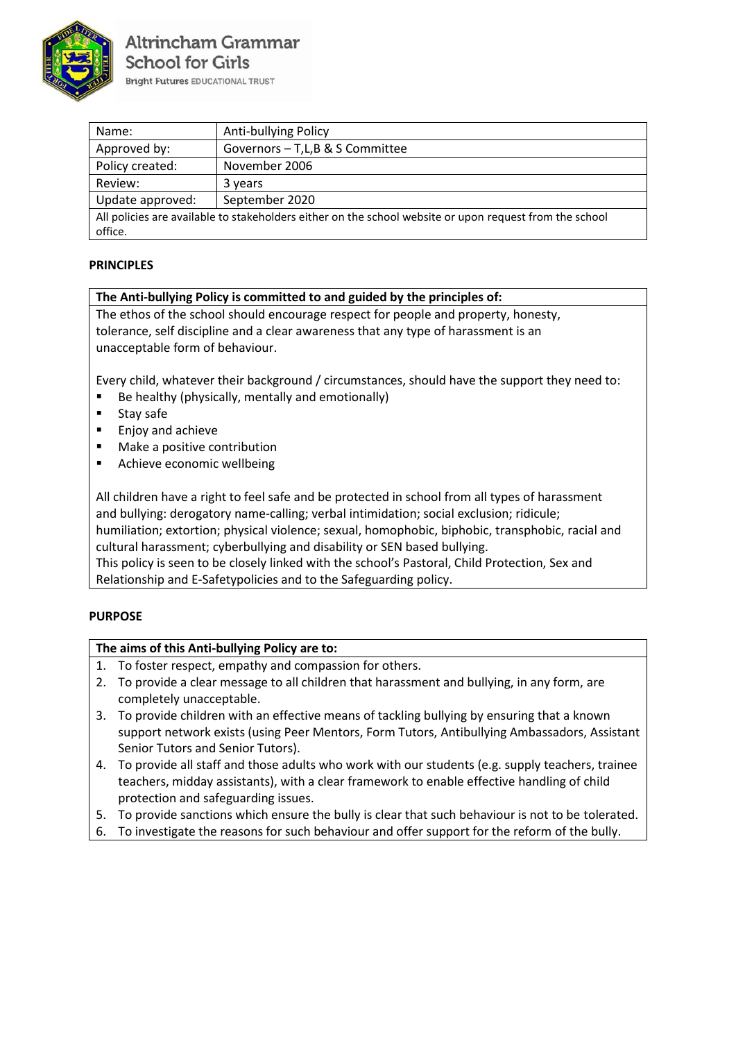

| Name:                                                                                                   | Anti-bullying Policy            |  |
|---------------------------------------------------------------------------------------------------------|---------------------------------|--|
| Approved by:                                                                                            | Governors - T,L,B & S Committee |  |
| Policy created:                                                                                         | November 2006                   |  |
| Review:                                                                                                 | 3 years                         |  |
| Update approved:                                                                                        | September 2020                  |  |
| All policies are available to stakeholders either on the school website or upon request from the school |                                 |  |
| office.                                                                                                 |                                 |  |

## **PRINCIPLES**

## **The Anti-bullying Policy is committed to and guided by the principles of:**

The ethos of the school should encourage respect for people and property, honesty, tolerance, self discipline and a clear awareness that any type of harassment is an unacceptable form of behaviour.

Every child, whatever their background / circumstances, should have the support they need to:

- Be healthy (physically, mentally and emotionally)
- Stay safe
- Enjoy and achieve
- Make a positive contribution
- Achieve economic wellbeing

All children have a right to feel safe and be protected in school from all types of harassment and bullying: derogatory name-calling; verbal intimidation; social exclusion; ridicule; humiliation; extortion; physical violence; sexual, homophobic, biphobic, transphobic, racial and cultural harassment; cyberbullying and disability or SEN based bullying. This policy is seen to be closely linked with the school's Pastoral, Child Protection, Sex and Relationship and E-Safetypolicies and to the Safeguarding policy.

## **PURPOSE**

## **The aims of this Anti-bullying Policy are to:**

- 1. To foster respect, empathy and compassion for others.
- 2. To provide a clear message to all children that harassment and bullying, in any form, are completely unacceptable.
- 3. To provide children with an effective means of tackling bullying by ensuring that a known support network exists (using Peer Mentors, Form Tutors, Antibullying Ambassadors, Assistant Senior Tutors and Senior Tutors).
- 4. To provide all staff and those adults who work with our students (e.g. supply teachers, trainee teachers, midday assistants), with a clear framework to enable effective handling of child protection and safeguarding issues.
- 5. To provide sanctions which ensure the bully is clear that such behaviour is not to be tolerated.
- 6. To investigate the reasons for such behaviour and offer support for the reform of the bully.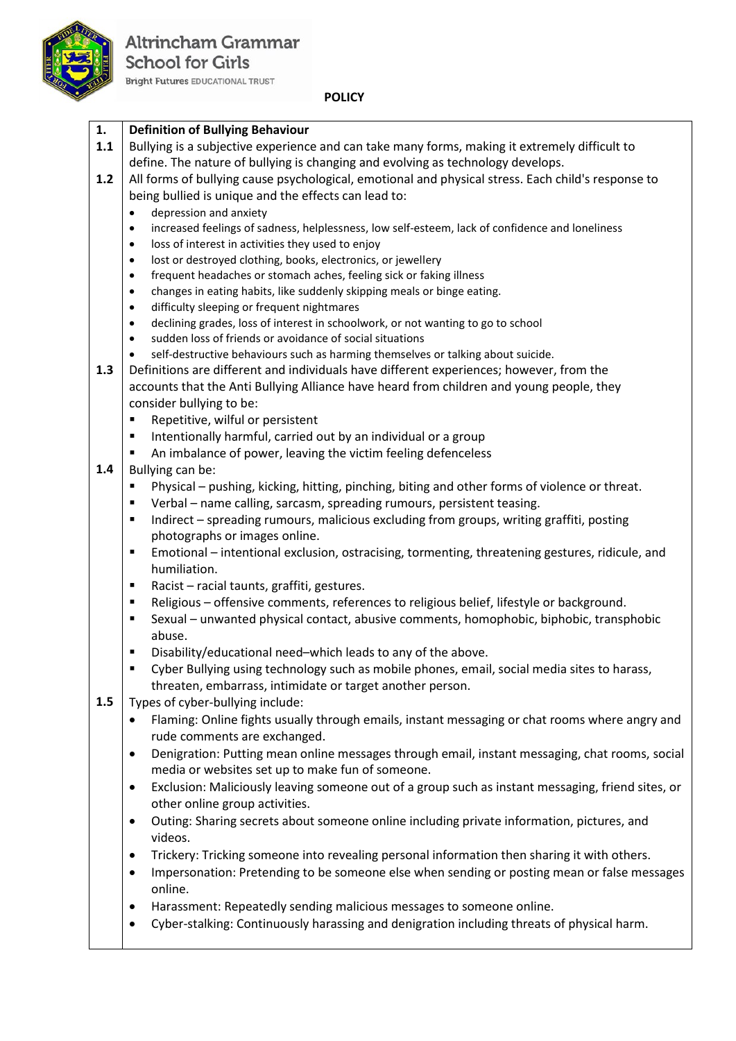

### **POLICY**

| 1.  | <b>Definition of Bullying Behaviour</b>                                                                                                     |
|-----|---------------------------------------------------------------------------------------------------------------------------------------------|
| 1.1 | Bullying is a subjective experience and can take many forms, making it extremely difficult to                                               |
|     | define. The nature of bullying is changing and evolving as technology develops.                                                             |
| 1.2 | All forms of bullying cause psychological, emotional and physical stress. Each child's response to                                          |
|     | being bullied is unique and the effects can lead to:                                                                                        |
|     | depression and anxiety<br>$\bullet$                                                                                                         |
|     | increased feelings of sadness, helplessness, low self-esteem, lack of confidence and loneliness<br>$\bullet$                                |
|     | loss of interest in activities they used to enjoy<br>$\bullet$                                                                              |
|     | lost or destroyed clothing, books, electronics, or jewellery<br>$\bullet$                                                                   |
|     | frequent headaches or stomach aches, feeling sick or faking illness<br>$\bullet$                                                            |
|     | changes in eating habits, like suddenly skipping meals or binge eating.<br>$\bullet$                                                        |
|     | difficulty sleeping or frequent nightmares<br>$\bullet$<br>declining grades, loss of interest in schoolwork, or not wanting to go to school |
|     | $\bullet$<br>sudden loss of friends or avoidance of social situations<br>$\bullet$                                                          |
|     | self-destructive behaviours such as harming themselves or talking about suicide.<br>$\bullet$                                               |
| 1.3 | Definitions are different and individuals have different experiences; however, from the                                                     |
|     | accounts that the Anti Bullying Alliance have heard from children and young people, they                                                    |
|     | consider bullying to be:                                                                                                                    |
|     | Repetitive, wilful or persistent<br>٠                                                                                                       |
|     | Intentionally harmful, carried out by an individual or a group<br>٠                                                                         |
|     | An imbalance of power, leaving the victim feeling defenceless<br>п                                                                          |
| 1.4 | Bullying can be:                                                                                                                            |
|     | Physical – pushing, kicking, hitting, pinching, biting and other forms of violence or threat.<br>٠                                          |
|     | Verbal - name calling, sarcasm, spreading rumours, persistent teasing.<br>٠                                                                 |
|     | Indirect - spreading rumours, malicious excluding from groups, writing graffiti, posting<br>٠                                               |
|     | photographs or images online.                                                                                                               |
|     | Emotional – intentional exclusion, ostracising, tormenting, threatening gestures, ridicule, and<br>Ξ                                        |
|     | humiliation.                                                                                                                                |
|     | Racist - racial taunts, graffiti, gestures.<br>٠                                                                                            |
|     | Religious - offensive comments, references to religious belief, lifestyle or background.<br>٠                                               |
|     | Sexual - unwanted physical contact, abusive comments, homophobic, biphobic, transphobic<br>٠                                                |
|     | abuse.                                                                                                                                      |
|     | Disability/educational need-which leads to any of the above.<br>п                                                                           |
|     | Cyber Bullying using technology such as mobile phones, email, social media sites to harass,<br>٠                                            |
|     | threaten, embarrass, intimidate or target another person.                                                                                   |
| 1.5 | Types of cyber-bullying include:                                                                                                            |
|     | Flaming: Online fights usually through emails, instant messaging or chat rooms where angry and<br>٠                                         |
|     | rude comments are exchanged.                                                                                                                |
|     | Denigration: Putting mean online messages through email, instant messaging, chat rooms, social<br>$\bullet$                                 |
|     | media or websites set up to make fun of someone.                                                                                            |
|     | Exclusion: Maliciously leaving someone out of a group such as instant messaging, friend sites, or<br>$\bullet$                              |
|     | other online group activities.                                                                                                              |
|     | Outing: Sharing secrets about someone online including private information, pictures, and<br>$\bullet$                                      |
|     | videos.                                                                                                                                     |
|     |                                                                                                                                             |
|     | Trickery: Tricking someone into revealing personal information then sharing it with others.<br>$\bullet$                                    |
|     | Impersonation: Pretending to be someone else when sending or posting mean or false messages<br>$\bullet$                                    |
|     | online.                                                                                                                                     |
|     | Harassment: Repeatedly sending malicious messages to someone online.<br>$\bullet$                                                           |
|     | Cyber-stalking: Continuously harassing and denigration including threats of physical harm.<br>$\bullet$                                     |
|     |                                                                                                                                             |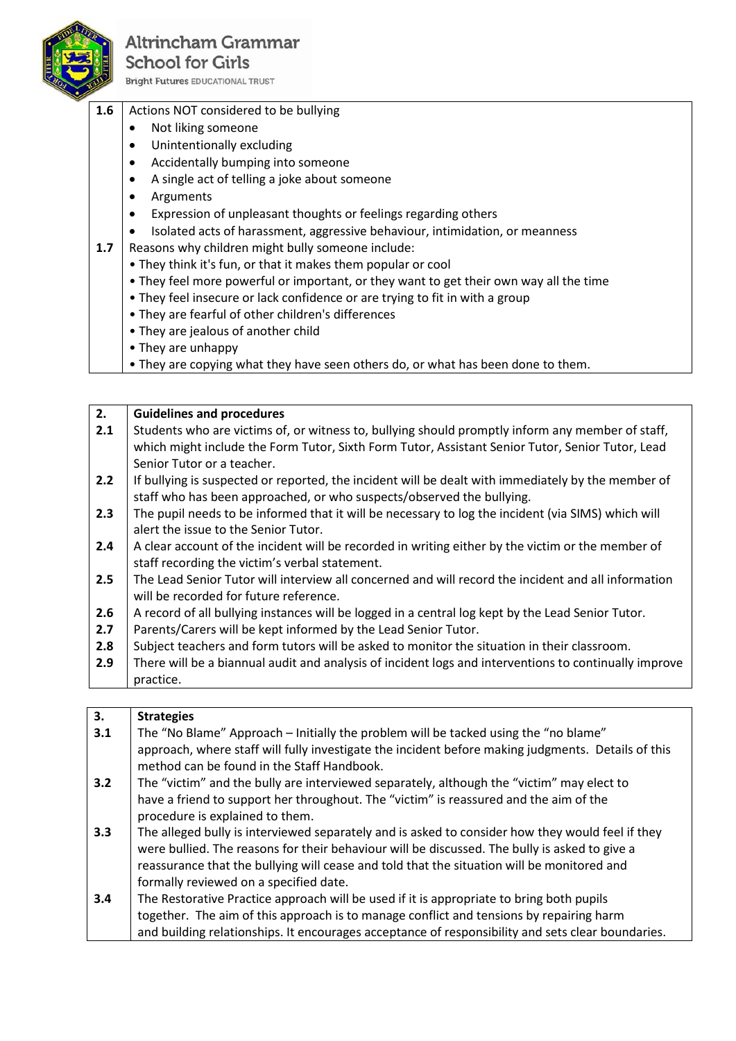

## **Altrincham Grammar School for Girls**

**Bright Futures EDUCATIONAL TRUST** 

#### **1.6** Actions NOT considered to be bullying

- Not liking someone
- Unintentionally excluding
- Accidentally bumping into someone
- A single act of telling a joke about someone
- Arguments
- Expression of unpleasant thoughts or feelings regarding others
- Isolated acts of harassment, aggressive behaviour, intimidation, or meanness
- **1.7** Reasons why children might bully someone include:
	- They think it's fun, or that it makes them popular or cool
	- They feel more powerful or important, or they want to get their own way all the time
	- They feel insecure or lack confidence or are trying to fit in with a group
	- They are fearful of other children's differences
	- They are jealous of another child
	- They are unhappy
	- They are copying what they have seen others do, or what has been done to them.

### **2. 2.1 2.2 2.3 2.4 2.5 2.6 2.7 2.8 2.9 Guidelines and procedures** Students who are victims of, or witness to, bullying should promptly inform any member of staff, which might include the Form Tutor, Sixth Form Tutor, Assistant Senior Tutor, Senior Tutor, Lead Senior Tutor or a teacher. If bullying is suspected or reported, the incident will be dealt with immediately by the member of staff who has been approached, or who suspects/observed the bullying. The pupil needs to be informed that it will be necessary to log the incident (via SIMS) which will alert the issue to the Senior Tutor. A clear account of the incident will be recorded in writing either by the victim or the member of staff recording the victim's verbal statement. The Lead Senior Tutor will interview all concerned and will record the incident and all information will be recorded for future reference. A record of all bullying instances will be logged in a central log kept by the Lead Senior Tutor. Parents/Carers will be kept informed by the Lead Senior Tutor. Subject teachers and form tutors will be asked to monitor the situation in their classroom. There will be a biannual audit and analysis of incident logs and interventions to continually improve practice.

| 3.  | <b>Strategies</b>                                                                                                                                |
|-----|--------------------------------------------------------------------------------------------------------------------------------------------------|
| 3.1 | The "No Blame" Approach – Initially the problem will be tacked using the "no blame"                                                              |
|     | approach, where staff will fully investigate the incident before making judgments. Details of this<br>method can be found in the Staff Handbook. |
| 3.2 | The "victim" and the bully are interviewed separately, although the "victim" may elect to                                                        |
|     | have a friend to support her throughout. The "victim" is reassured and the aim of the                                                            |
|     | procedure is explained to them.                                                                                                                  |
| 3.3 | The alleged bully is interviewed separately and is asked to consider how they would feel if they                                                 |
|     | were bullied. The reasons for their behaviour will be discussed. The bully is asked to give a                                                    |
|     | reassurance that the bullying will cease and told that the situation will be monitored and                                                       |
|     | formally reviewed on a specified date.                                                                                                           |
| 3.4 | The Restorative Practice approach will be used if it is appropriate to bring both pupils                                                         |
|     | together. The aim of this approach is to manage conflict and tensions by repairing harm                                                          |
|     | and building relationships. It encourages acceptance of responsibility and sets clear boundaries.                                                |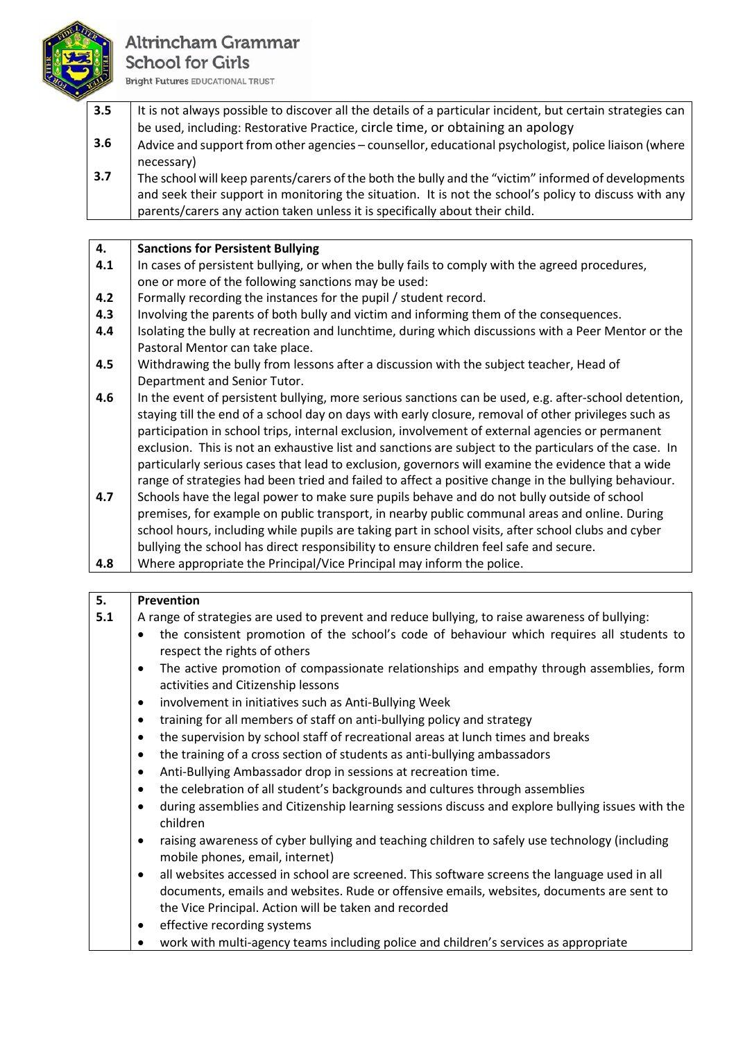

## Altrincham Grammar **School for Girls**

**Bright Futures EDUCATIONAL TRUST** 

- **3.5 3.6** It is not always possible to discover all the details of a particular incident, but certain strategies can be used, including: Restorative Practice, circle time, or obtaining an apology Advice and support from other agencies – counsellor, educational psychologist, police liaison (where necessary)
- **3.7** The school will keep parents/carers of the both the bully and the "victim" informed of developments and seek their support in monitoring the situation. It is not the school's policy to discuss with any parents/carers any action taken unless it is specifically about their child.

| 4. | Sanctions for Persistent Bullying |
|----|-----------------------------------|
|----|-----------------------------------|

- **4.1** In cases of persistent bullying, or when the bully fails to comply with the agreed procedures, one or more of the following sanctions may be used:
- **4.2** Formally recording the instances for the pupil / student record.
- **4.3** Involving the parents of both bully and victim and informing them of the consequences.
- **4.4** Isolating the bully at recreation and lunchtime, during which discussions with a Peer Mentor or the Pastoral Mentor can take place.
- **4.5** Withdrawing the bully from lessons after a discussion with the subject teacher, Head of Department and Senior Tutor.
- **4.6** In the event of persistent bullying, more serious sanctions can be used, e.g. after-school detention, staying till the end of a school day on days with early closure, removal of other privileges such as participation in school trips, internal exclusion, involvement of external agencies or permanent exclusion. This is not an exhaustive list and sanctions are subject to the particulars of the case. In particularly serious cases that lead to exclusion, governors will examine the evidence that a wide range of strategies had been tried and failed to affect a positive change in the bullying behaviour.
- **4.7** Schools have the legal power to make sure pupils behave and do not bully outside of school premises, for example on public transport, in nearby public communal areas and online. During school hours, including while pupils are taking part in school visits, after school clubs and cyber bullying the school has direct responsibility to ensure children feel safe and secure.

|--|

| 5.  | Prevention                                                                                                                                                                                                                                                      |  |
|-----|-----------------------------------------------------------------------------------------------------------------------------------------------------------------------------------------------------------------------------------------------------------------|--|
| 5.1 | A range of strategies are used to prevent and reduce bullying, to raise awareness of bullying:                                                                                                                                                                  |  |
|     | the consistent promotion of the school's code of behaviour which requires all students to<br>$\bullet$<br>respect the rights of others                                                                                                                          |  |
|     | The active promotion of compassionate relationships and empathy through assemblies, form<br>$\bullet$<br>activities and Citizenship lessons                                                                                                                     |  |
|     | involvement in initiatives such as Anti-Bullying Week<br>$\bullet$                                                                                                                                                                                              |  |
|     | training for all members of staff on anti-bullying policy and strategy<br>$\bullet$                                                                                                                                                                             |  |
|     | the supervision by school staff of recreational areas at lunch times and breaks<br>$\bullet$                                                                                                                                                                    |  |
|     | the training of a cross section of students as anti-bullying ambassadors<br>$\bullet$                                                                                                                                                                           |  |
|     | Anti-Bullying Ambassador drop in sessions at recreation time.<br>$\bullet$                                                                                                                                                                                      |  |
|     | the celebration of all student's backgrounds and cultures through assemblies<br>$\bullet$                                                                                                                                                                       |  |
|     | during assemblies and Citizenship learning sessions discuss and explore bullying issues with the<br>$\bullet$<br>children                                                                                                                                       |  |
|     | raising awareness of cyber bullying and teaching children to safely use technology (including<br>$\bullet$<br>mobile phones, email, internet)                                                                                                                   |  |
|     | all websites accessed in school are screened. This software screens the language used in all<br>$\bullet$<br>documents, emails and websites. Rude or offensive emails, websites, documents are sent to<br>the Vice Principal. Action will be taken and recorded |  |
|     | effective recording systems<br>$\bullet$                                                                                                                                                                                                                        |  |
|     | work with multi-agency teams including police and children's services as appropriate                                                                                                                                                                            |  |